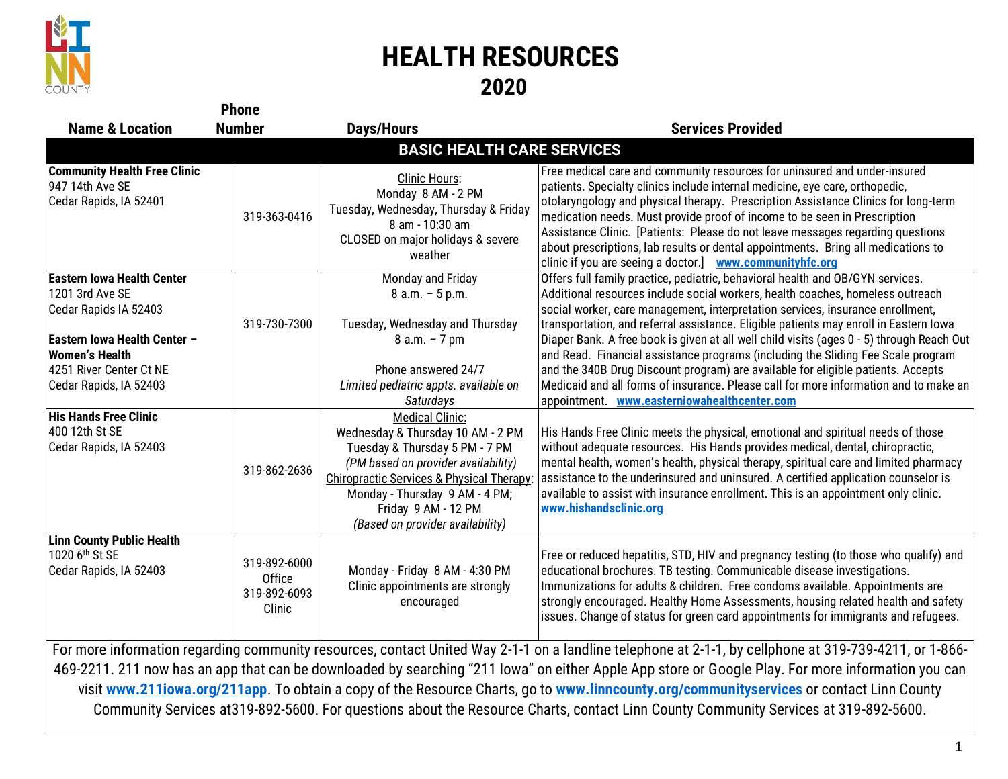

## **HEALTH RESOURCES 2020**

|                                                                                                                                                                                                                                                                                                                 | <b>Phone</b>                                     |                                                                                                                                                                                                                                                                                |                                                                                                                                                                                                                                                                                                                                                                                                                                                                                                                                                                                                                                                                                                                                                          |  |  |
|-----------------------------------------------------------------------------------------------------------------------------------------------------------------------------------------------------------------------------------------------------------------------------------------------------------------|--------------------------------------------------|--------------------------------------------------------------------------------------------------------------------------------------------------------------------------------------------------------------------------------------------------------------------------------|----------------------------------------------------------------------------------------------------------------------------------------------------------------------------------------------------------------------------------------------------------------------------------------------------------------------------------------------------------------------------------------------------------------------------------------------------------------------------------------------------------------------------------------------------------------------------------------------------------------------------------------------------------------------------------------------------------------------------------------------------------|--|--|
| <b>Name &amp; Location</b>                                                                                                                                                                                                                                                                                      | <b>Number</b>                                    | <b>Days/Hours</b>                                                                                                                                                                                                                                                              | <b>Services Provided</b>                                                                                                                                                                                                                                                                                                                                                                                                                                                                                                                                                                                                                                                                                                                                 |  |  |
|                                                                                                                                                                                                                                                                                                                 | <b>BASIC HEALTH CARE SERVICES</b>                |                                                                                                                                                                                                                                                                                |                                                                                                                                                                                                                                                                                                                                                                                                                                                                                                                                                                                                                                                                                                                                                          |  |  |
| <b>Community Health Free Clinic</b><br>947 14th Ave SE<br>Cedar Rapids, IA 52401                                                                                                                                                                                                                                | 319-363-0416                                     | <b>Clinic Hours:</b><br>Monday 8 AM - 2 PM<br>Tuesday, Wednesday, Thursday & Friday<br>8 am - 10:30 am<br>CLOSED on major holidays & severe<br>weather                                                                                                                         | Free medical care and community resources for uninsured and under-insured<br>patients. Specialty clinics include internal medicine, eye care, orthopedic,<br>otolaryngology and physical therapy. Prescription Assistance Clinics for long-term<br>medication needs. Must provide proof of income to be seen in Prescription<br>Assistance Clinic. [Patients: Please do not leave messages regarding questions<br>about prescriptions, lab results or dental appointments. Bring all medications to<br>clinic if you are seeing a doctor.] www.communityhfc.org                                                                                                                                                                                          |  |  |
| <b>Eastern Iowa Health Center</b><br>1201 3rd Ave SE<br>Cedar Rapids IA 52403<br>Eastern Iowa Health Center -<br><b>Women's Health</b><br>4251 River Center Ct NE<br>Cedar Rapids, IA 52403                                                                                                                     | 319-730-7300                                     | Monday and Friday<br>$8$ a.m. $-5$ p.m.<br>Tuesday, Wednesday and Thursday<br>$8 a.m. - 7 pm$<br>Phone answered 24/7<br>Limited pediatric appts. available on<br>Saturdays                                                                                                     | Offers full family practice, pediatric, behavioral health and OB/GYN services.<br>Additional resources include social workers, health coaches, homeless outreach<br>social worker, care management, interpretation services, insurance enrollment,<br>transportation, and referral assistance. Eligible patients may enroll in Eastern Iowa<br>Diaper Bank. A free book is given at all well child visits (ages 0 - 5) through Reach Out<br>and Read. Financial assistance programs (including the Sliding Fee Scale program<br>and the 340B Drug Discount program) are available for eligible patients. Accepts<br>Medicaid and all forms of insurance. Please call for more information and to make an<br>appointment. www.easterniowahealthcenter.com |  |  |
| <b>His Hands Free Clinic</b><br>400 12th St SE<br>Cedar Rapids, IA 52403                                                                                                                                                                                                                                        | 319-862-2636                                     | <b>Medical Clinic:</b><br>Wednesday & Thursday 10 AM - 2 PM<br>Tuesday & Thursday 5 PM - 7 PM<br>(PM based on provider availability)<br>Chiropractic Services & Physical Therapy:<br>Monday - Thursday 9 AM - 4 PM;<br>Friday 9 AM - 12 PM<br>(Based on provider availability) | His Hands Free Clinic meets the physical, emotional and spiritual needs of those<br>without adequate resources. His Hands provides medical, dental, chiropractic,<br>mental health, women's health, physical therapy, spiritual care and limited pharmacy<br>assistance to the underinsured and uninsured. A certified application counselor is<br>available to assist with insurance enrollment. This is an appointment only clinic.<br>www.hishandsclinic.org                                                                                                                                                                                                                                                                                          |  |  |
| <b>Linn County Public Health</b><br>1020 6th St SE<br>Cedar Rapids, IA 52403                                                                                                                                                                                                                                    | 319-892-6000<br>Office<br>319-892-6093<br>Clinic | Monday - Friday 8 AM - 4:30 PM<br>Clinic appointments are strongly<br>encouraged                                                                                                                                                                                               | Free or reduced hepatitis, STD, HIV and pregnancy testing (to those who qualify) and<br>educational brochures. TB testing. Communicable disease investigations.<br>Immunizations for adults & children. Free condoms available. Appointments are<br>strongly encouraged. Healthy Home Assessments, housing related health and safety<br>issues. Change of status for green card appointments for immigrants and refugees.                                                                                                                                                                                                                                                                                                                                |  |  |
| For more information regarding community resources, contact United Way 2-1-1 on a landline telephone at 2-1-1, by cellphone at 319-739-4211, or 1-866-<br>160.0011, 011 nous has an any that can be devinledded by coarching "011 louis" on either Annie Ann stars as Coastle Dlay, Fermore information you can |                                                  |                                                                                                                                                                                                                                                                                |                                                                                                                                                                                                                                                                                                                                                                                                                                                                                                                                                                                                                                                                                                                                                          |  |  |

469-2211. 211 now has an app that can be downloaded by searching "211 Iowa" on either Apple App store or Google Play. For more information you can visit **[www.211iowa.org/211app](http://www.211iowa.org/211app)**. To obtain a copy of the Resource Charts, go to **[www.linncounty.org/communityservices](http://www.linncounty.org/communityservices)** or contact Linn County Community Services at319-892-5600. For questions about the Resource Charts, contact Linn County Community Services at 319-892-5600.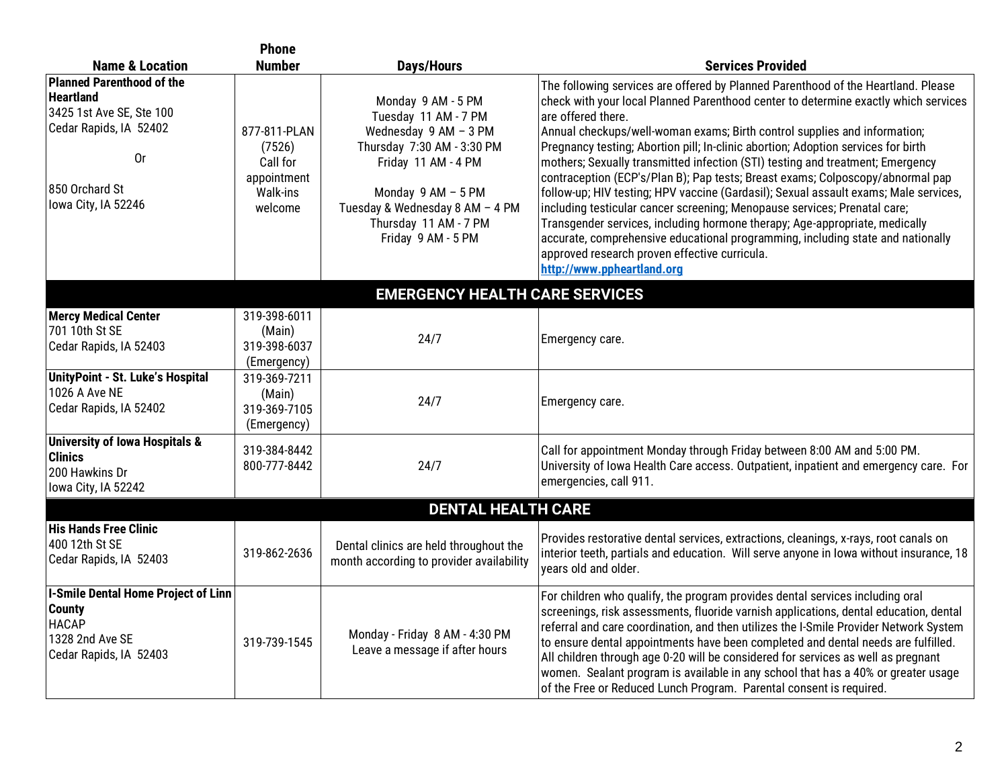|                                                                                                                                                           | <b>Phone</b>                                                                    |                                                                                                                                                                                                                                  |                                                                                                                                                                                                                                                                                                                                                                                                                                                                                                                                                                                                                                                                                                                                                                                                                                                                                                                                                             |
|-----------------------------------------------------------------------------------------------------------------------------------------------------------|---------------------------------------------------------------------------------|----------------------------------------------------------------------------------------------------------------------------------------------------------------------------------------------------------------------------------|-------------------------------------------------------------------------------------------------------------------------------------------------------------------------------------------------------------------------------------------------------------------------------------------------------------------------------------------------------------------------------------------------------------------------------------------------------------------------------------------------------------------------------------------------------------------------------------------------------------------------------------------------------------------------------------------------------------------------------------------------------------------------------------------------------------------------------------------------------------------------------------------------------------------------------------------------------------|
| <b>Name &amp; Location</b>                                                                                                                                | <b>Number</b>                                                                   | <b>Days/Hours</b>                                                                                                                                                                                                                | <b>Services Provided</b>                                                                                                                                                                                                                                                                                                                                                                                                                                                                                                                                                                                                                                                                                                                                                                                                                                                                                                                                    |
| <b>Planned Parenthood of the</b><br><b>Heartland</b><br>3425 1st Ave SE, Ste 100<br>Cedar Rapids, IA 52402<br>0r<br>850 Orchard St<br>lowa City, IA 52246 | 877-811-PLAN<br>(7526)<br>Call for<br>appointment<br><b>Walk-ins</b><br>welcome | Monday 9 AM - 5 PM<br>Tuesday 11 AM - 7 PM<br>Wednesday 9 AM - 3 PM<br>Thursday 7:30 AM - 3:30 PM<br>Friday 11 AM - 4 PM<br>Monday 9 AM - 5 PM<br>Tuesday & Wednesday 8 AM - 4 PM<br>Thursday 11 AM - 7 PM<br>Friday 9 AM - 5 PM | The following services are offered by Planned Parenthood of the Heartland. Please<br>check with your local Planned Parenthood center to determine exactly which services<br>are offered there.<br>Annual checkups/well-woman exams; Birth control supplies and information;<br>Pregnancy testing; Abortion pill; In-clinic abortion; Adoption services for birth<br>mothers; Sexually transmitted infection (STI) testing and treatment; Emergency<br> contraception (ECP's/Plan B); Pap tests; Breast exams; Colposcopy/abnormal pap<br>follow-up; HIV testing; HPV vaccine (Gardasil); Sexual assault exams; Male services,<br>including testicular cancer screening; Menopause services; Prenatal care;<br>Transgender services, including hormone therapy; Age-appropriate, medically<br>accurate, comprehensive educational programming, including state and nationally<br>approved research proven effective curricula.<br>http://www.ppheartland.org |
|                                                                                                                                                           |                                                                                 | <b>EMERGENCY HEALTH CARE SERVICES</b>                                                                                                                                                                                            |                                                                                                                                                                                                                                                                                                                                                                                                                                                                                                                                                                                                                                                                                                                                                                                                                                                                                                                                                             |
| <b>Mercy Medical Center</b><br>701 10th St SE<br>Cedar Rapids, IA 52403                                                                                   | 319-398-6011<br>(Main)<br>319-398-6037<br>(Emergency)                           | 24/7                                                                                                                                                                                                                             | Emergency care.                                                                                                                                                                                                                                                                                                                                                                                                                                                                                                                                                                                                                                                                                                                                                                                                                                                                                                                                             |
| UnityPoint - St. Luke's Hospital<br>1026 A Ave NE<br>Cedar Rapids, IA 52402                                                                               | 319-369-7211<br>(Main)<br>319-369-7105<br>(Emergency)                           | 24/7                                                                                                                                                                                                                             | Emergency care.                                                                                                                                                                                                                                                                                                                                                                                                                                                                                                                                                                                                                                                                                                                                                                                                                                                                                                                                             |
| <b>University of Iowa Hospitals &amp;</b><br><b>Clinics</b><br>200 Hawkins Dr<br>lowa City, IA 52242                                                      | 319-384-8442<br>800-777-8442                                                    | 24/7                                                                                                                                                                                                                             | Call for appointment Monday through Friday between 8:00 AM and 5:00 PM.<br>University of Iowa Health Care access. Outpatient, inpatient and emergency care. For<br>emergencies, call 911.                                                                                                                                                                                                                                                                                                                                                                                                                                                                                                                                                                                                                                                                                                                                                                   |
|                                                                                                                                                           |                                                                                 | <b>DENTAL HEALTH CARE</b>                                                                                                                                                                                                        |                                                                                                                                                                                                                                                                                                                                                                                                                                                                                                                                                                                                                                                                                                                                                                                                                                                                                                                                                             |
| <b>His Hands Free Clinic</b><br>400 12th St SE<br>Cedar Rapids, IA 52403                                                                                  | 319-862-2636                                                                    | Dental clinics are held throughout the<br>month according to provider availability                                                                                                                                               | Provides restorative dental services, extractions, cleanings, x-rays, root canals on<br>interior teeth, partials and education. Will serve anyone in lowa without insurance, 18<br>years old and older.                                                                                                                                                                                                                                                                                                                                                                                                                                                                                                                                                                                                                                                                                                                                                     |
| <b>I-Smile Dental Home Project of Linn</b><br><b>County</b><br><b>HACAP</b><br>1328 2nd Ave SE<br>Cedar Rapids, IA 52403                                  | 319-739-1545                                                                    | Monday - Friday 8 AM - 4:30 PM<br>Leave a message if after hours                                                                                                                                                                 | For children who qualify, the program provides dental services including oral<br>screenings, risk assessments, fluoride varnish applications, dental education, dental<br>referral and care coordination, and then utilizes the I-Smile Provider Network System<br>to ensure dental appointments have been completed and dental needs are fulfilled.<br>All children through age 0-20 will be considered for services as well as pregnant<br>women. Sealant program is available in any school that has a 40% or greater usage<br>of the Free or Reduced Lunch Program. Parental consent is required.                                                                                                                                                                                                                                                                                                                                                       |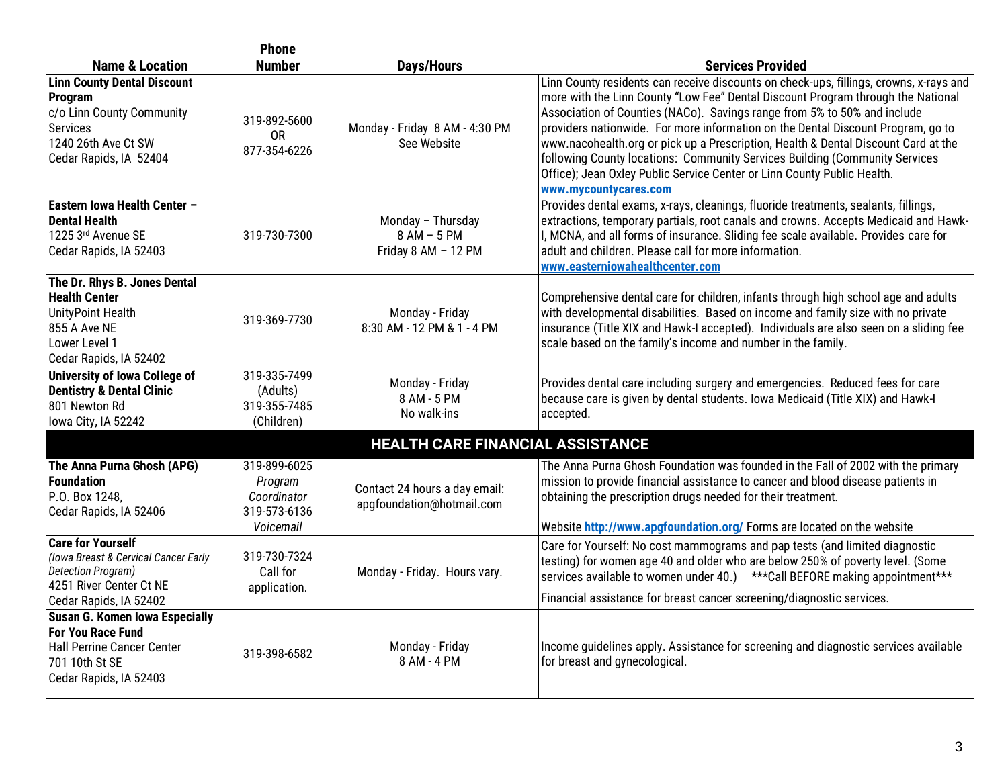|                                                                                                                                                    | <b>Phone</b>                                                        |                                                            |                                                                                                                                                                                                                                                                                                                                                                                                                                                                                                                                                                                                                     |
|----------------------------------------------------------------------------------------------------------------------------------------------------|---------------------------------------------------------------------|------------------------------------------------------------|---------------------------------------------------------------------------------------------------------------------------------------------------------------------------------------------------------------------------------------------------------------------------------------------------------------------------------------------------------------------------------------------------------------------------------------------------------------------------------------------------------------------------------------------------------------------------------------------------------------------|
| <b>Name &amp; Location</b>                                                                                                                         | <b>Number</b>                                                       | <b>Days/Hours</b>                                          | <b>Services Provided</b>                                                                                                                                                                                                                                                                                                                                                                                                                                                                                                                                                                                            |
| <b>Linn County Dental Discount</b><br>Program<br>c/o Linn County Community<br><b>Services</b><br>1240 26th Ave Ct SW<br>Cedar Rapids, IA 52404     | 319-892-5600<br>0R<br>877-354-6226                                  | Monday - Friday 8 AM - 4:30 PM<br>See Website              | Linn County residents can receive discounts on check-ups, fillings, crowns, x-rays and<br>more with the Linn County "Low Fee" Dental Discount Program through the National<br>Association of Counties (NACo). Savings range from 5% to 50% and include<br>providers nationwide. For more information on the Dental Discount Program, go to<br>www.nacohealth.org or pick up a Prescription, Health & Dental Discount Card at the<br>following County locations: Community Services Building (Community Services<br>Office); Jean Oxley Public Service Center or Linn County Public Health.<br>www.mycountycares.com |
| Eastern Iowa Health Center -<br><b>Dental Health</b><br>1225 3rd Avenue SE<br>Cedar Rapids, IA 52403                                               | 319-730-7300                                                        | Monday - Thursday<br>8 AM - 5 PM<br>Friday 8 AM - 12 PM    | Provides dental exams, x-rays, cleanings, fluoride treatments, sealants, fillings,<br>extractions, temporary partials, root canals and crowns. Accepts Medicaid and Hawk-<br>I, MCNA, and all forms of insurance. Sliding fee scale available. Provides care for<br>adult and children. Please call for more information.<br>www.easterniowahealthcenter.com                                                                                                                                                                                                                                                        |
| The Dr. Rhys B. Jones Dental<br><b>Health Center</b><br><b>UnityPoint Health</b><br>855 A Ave NE<br>Lower Level 1<br>Cedar Rapids, IA 52402        | 319-369-7730                                                        | Monday - Friday<br>8:30 AM - 12 PM & 1 - 4 PM              | Comprehensive dental care for children, infants through high school age and adults<br>with developmental disabilities. Based on income and family size with no private<br>insurance (Title XIX and Hawk-I accepted). Individuals are also seen on a sliding fee<br>scale based on the family's income and number in the family.                                                                                                                                                                                                                                                                                     |
| <b>University of Iowa College of</b><br><b>Dentistry &amp; Dental Clinic</b><br>801 Newton Rd<br>Iowa City, IA 52242                               | 319-335-7499<br>(Adults)<br>319-355-7485<br>(Children)              | Monday - Friday<br>8 AM - 5 PM<br>No walk-ins              | Provides dental care including surgery and emergencies. Reduced fees for care<br>because care is given by dental students. Iowa Medicaid (Title XIX) and Hawk-I<br>accepted.                                                                                                                                                                                                                                                                                                                                                                                                                                        |
|                                                                                                                                                    |                                                                     | <b>HEALTH CARE FINANCIAL ASSISTANCE</b>                    |                                                                                                                                                                                                                                                                                                                                                                                                                                                                                                                                                                                                                     |
| The Anna Purna Ghosh (APG)<br><b>Foundation</b><br>P.O. Box 1248,<br>Cedar Rapids, IA 52406                                                        | 319-899-6025<br>Program<br>Coordinator<br>319-573-6136<br>Voicemail | Contact 24 hours a day email:<br>apgfoundation@hotmail.com | The Anna Purna Ghosh Foundation was founded in the Fall of 2002 with the primary<br>mission to provide financial assistance to cancer and blood disease patients in<br>obtaining the prescription drugs needed for their treatment.<br>Website http://www.apgfoundation.org/ Forms are located on the website                                                                                                                                                                                                                                                                                                       |
| <b>Care for Yourself</b><br>(Iowa Breast & Cervical Cancer Early<br>Detection Program)<br>4251 River Center Ct NE<br>Cedar Rapids, IA 52402        | 319-730-7324<br>Call for<br>application.                            | Monday - Friday. Hours vary.                               | Care for Yourself: No cost mammograms and pap tests (and limited diagnostic<br>testing) for women age 40 and older who are below 250% of poverty level. (Some<br>services available to women under 40.) *** Call BEFORE making appointment***<br>Financial assistance for breast cancer screening/diagnostic services.                                                                                                                                                                                                                                                                                              |
| <b>Susan G. Komen Iowa Especially</b><br><b>For You Race Fund</b><br><b>Hall Perrine Cancer Center</b><br>701 10th St SE<br>Cedar Rapids, IA 52403 | 319-398-6582                                                        | Monday - Friday<br>8 AM - 4 PM                             | Income guidelines apply. Assistance for screening and diagnostic services available<br>for breast and gynecological.                                                                                                                                                                                                                                                                                                                                                                                                                                                                                                |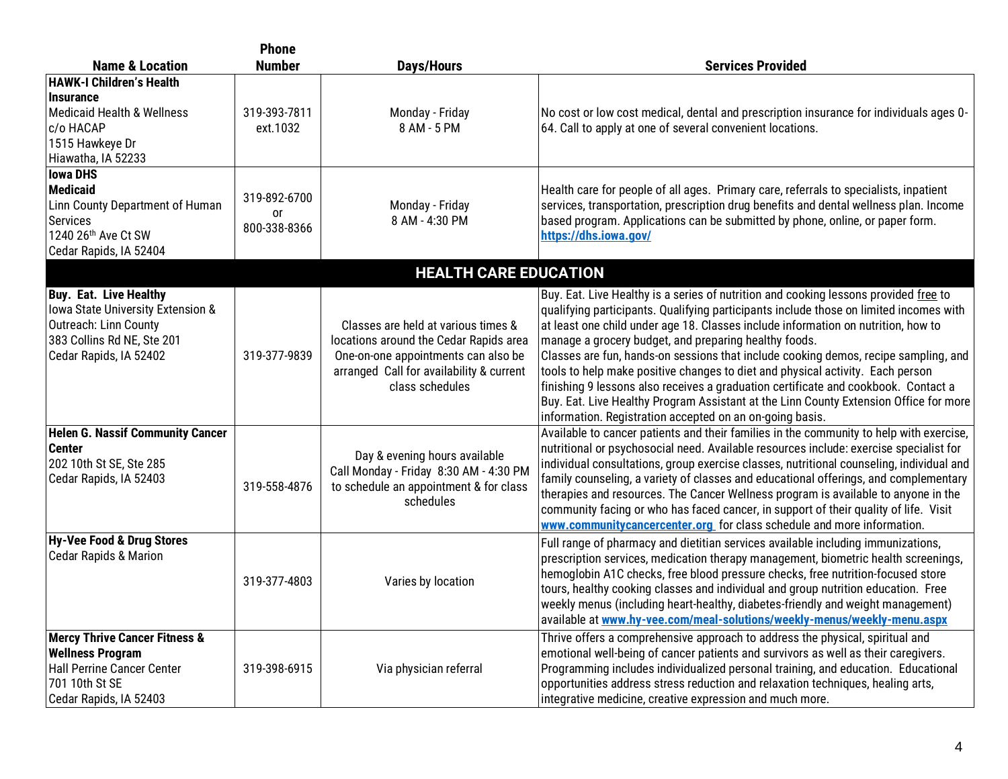|                                                                                                                                                            | <b>Phone</b>                       |                                                                                                                                                                                     |                                                                                                                                                                                                                                                                                                                                                                                                                                                                                                                                                                                                                                                                                                                                                  |
|------------------------------------------------------------------------------------------------------------------------------------------------------------|------------------------------------|-------------------------------------------------------------------------------------------------------------------------------------------------------------------------------------|--------------------------------------------------------------------------------------------------------------------------------------------------------------------------------------------------------------------------------------------------------------------------------------------------------------------------------------------------------------------------------------------------------------------------------------------------------------------------------------------------------------------------------------------------------------------------------------------------------------------------------------------------------------------------------------------------------------------------------------------------|
| <b>Name &amp; Location</b>                                                                                                                                 | <b>Number</b>                      | <b>Days/Hours</b>                                                                                                                                                                   | <b>Services Provided</b>                                                                                                                                                                                                                                                                                                                                                                                                                                                                                                                                                                                                                                                                                                                         |
| HAWK-I Children's Health<br><b>Insurance</b><br>Medicaid Health & Wellness<br>c/o HACAP<br>1515 Hawkeye Dr<br>Hiawatha, IA 52233                           | 319-393-7811<br>ext.1032           | Monday - Friday<br>8 AM - 5 PM                                                                                                                                                      | No cost or low cost medical, dental and prescription insurance for individuals ages 0-<br>64. Call to apply at one of several convenient locations.                                                                                                                                                                                                                                                                                                                                                                                                                                                                                                                                                                                              |
| <b>Iowa DHS</b><br><b>Medicaid</b><br>Linn County Department of Human<br><b>Services</b><br>1240 26th Ave Ct SW<br>Cedar Rapids, IA 52404                  | 319-892-6700<br>0r<br>800-338-8366 | Monday - Friday<br>8 AM - 4:30 PM                                                                                                                                                   | Health care for people of all ages. Primary care, referrals to specialists, inpatient<br>services, transportation, prescription drug benefits and dental wellness plan. Income<br>based program. Applications can be submitted by phone, online, or paper form.<br>https://dhs.iowa.gov/                                                                                                                                                                                                                                                                                                                                                                                                                                                         |
|                                                                                                                                                            |                                    | <b>HEALTH CARE EDUCATION</b>                                                                                                                                                        |                                                                                                                                                                                                                                                                                                                                                                                                                                                                                                                                                                                                                                                                                                                                                  |
| <b>Buy. Eat. Live Healthy</b><br>Iowa State University Extension &<br><b>Outreach: Linn County</b><br>383 Collins Rd NE, Ste 201<br>Cedar Rapids, IA 52402 | 319-377-9839                       | Classes are held at various times &<br>locations around the Cedar Rapids area<br>One-on-one appointments can also be<br>arranged Call for availability & current<br>class schedules | Buy. Eat. Live Healthy is a series of nutrition and cooking lessons provided free to<br>qualifying participants. Qualifying participants include those on limited incomes with<br>at least one child under age 18. Classes include information on nutrition, how to<br>manage a grocery budget, and preparing healthy foods.<br>Classes are fun, hands-on sessions that include cooking demos, recipe sampling, and<br>tools to help make positive changes to diet and physical activity. Each person<br>finishing 9 lessons also receives a graduation certificate and cookbook. Contact a<br>Buy. Eat. Live Healthy Program Assistant at the Linn County Extension Office for more<br>information. Registration accepted on an on-going basis. |
| <b>Helen G. Nassif Community Cancer</b><br><b>Center</b><br>202 10th St SE, Ste 285<br>Cedar Rapids, IA 52403                                              | 319-558-4876                       | Day & evening hours available<br>Call Monday - Friday 8:30 AM - 4:30 PM<br>to schedule an appointment & for class<br>schedules                                                      | Available to cancer patients and their families in the community to help with exercise,<br>nutritional or psychosocial need. Available resources include: exercise specialist for<br>individual consultations, group exercise classes, nutritional counseling, individual and<br>family counseling, a variety of classes and educational offerings, and complementary<br>therapies and resources. The Cancer Wellness program is available to anyone in the<br>community facing or who has faced cancer, in support of their quality of life. Visit<br>www.communitycancercenter.org for class schedule and more information.                                                                                                                    |
| <b>Hy-Vee Food &amp; Drug Stores</b><br><b>Cedar Rapids &amp; Marion</b>                                                                                   | 319-377-4803                       | Varies by location                                                                                                                                                                  | Full range of pharmacy and dietitian services available including immunizations,<br>prescription services, medication therapy management, biometric health screenings,<br>hemoglobin A1C checks, free blood pressure checks, free nutrition-focused store<br>tours, healthy cooking classes and individual and group nutrition education. Free<br>weekly menus (including heart-healthy, diabetes-friendly and weight management)<br>available at www.hy-vee.com/meal-solutions/weekly-menus/weekly-menu.aspx                                                                                                                                                                                                                                    |
| <b>Mercy Thrive Cancer Fitness &amp;</b><br><b>Wellness Program</b><br>Hall Perrine Cancer Center<br>701 10th St SE<br>Cedar Rapids, IA 52403              | 319-398-6915                       | Via physician referral                                                                                                                                                              | Thrive offers a comprehensive approach to address the physical, spiritual and<br>emotional well-being of cancer patients and survivors as well as their caregivers.<br>Programming includes individualized personal training, and education. Educational<br>opportunities address stress reduction and relaxation techniques, healing arts,<br>integrative medicine, creative expression and much more.                                                                                                                                                                                                                                                                                                                                          |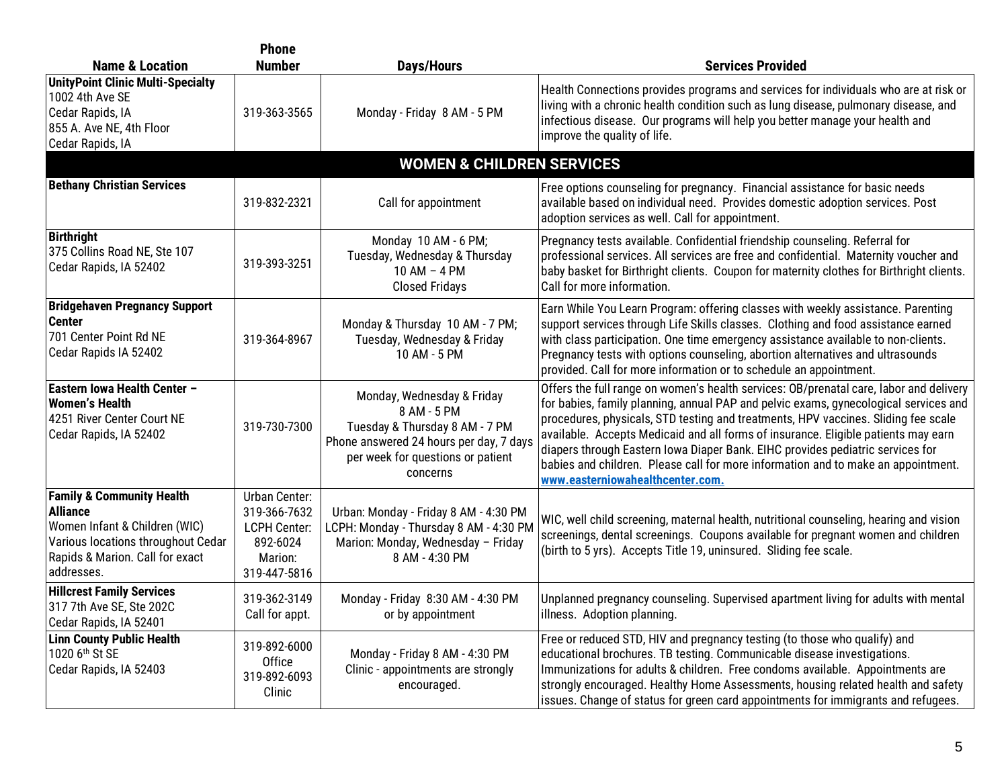|                                                                                                                                                                                 | <b>Phone</b>                                                                                       |                                                                                                                                                                         |                                                                                                                                                                                                                                                                                                                                                                                                                                                                                                                                                                       |
|---------------------------------------------------------------------------------------------------------------------------------------------------------------------------------|----------------------------------------------------------------------------------------------------|-------------------------------------------------------------------------------------------------------------------------------------------------------------------------|-----------------------------------------------------------------------------------------------------------------------------------------------------------------------------------------------------------------------------------------------------------------------------------------------------------------------------------------------------------------------------------------------------------------------------------------------------------------------------------------------------------------------------------------------------------------------|
| <b>Name &amp; Location</b>                                                                                                                                                      | <b>Number</b>                                                                                      | <b>Days/Hours</b>                                                                                                                                                       | <b>Services Provided</b>                                                                                                                                                                                                                                                                                                                                                                                                                                                                                                                                              |
| <b>UnityPoint Clinic Multi-Specialty</b><br>1002 4th Ave SE<br>Cedar Rapids, IA<br>855 A. Ave NE, 4th Floor<br>Cedar Rapids, IA                                                 | 319-363-3565                                                                                       | Monday - Friday 8 AM - 5 PM                                                                                                                                             | Health Connections provides programs and services for individuals who are at risk or<br>living with a chronic health condition such as lung disease, pulmonary disease, and<br>infectious disease. Our programs will help you better manage your health and<br>improve the quality of life.                                                                                                                                                                                                                                                                           |
|                                                                                                                                                                                 |                                                                                                    | <b>WOMEN &amp; CHILDREN SERVICES</b>                                                                                                                                    |                                                                                                                                                                                                                                                                                                                                                                                                                                                                                                                                                                       |
| <b>Bethany Christian Services</b>                                                                                                                                               | 319-832-2321                                                                                       | Call for appointment                                                                                                                                                    | Free options counseling for pregnancy. Financial assistance for basic needs<br>available based on individual need. Provides domestic adoption services. Post<br>adoption services as well. Call for appointment.                                                                                                                                                                                                                                                                                                                                                      |
| <b>Birthright</b><br>375 Collins Road NE, Ste 107<br>Cedar Rapids, IA 52402                                                                                                     | 319-393-3251                                                                                       | Monday 10 AM - 6 PM;<br>Tuesday, Wednesday & Thursday<br>10 AM - 4 PM<br><b>Closed Fridays</b>                                                                          | Pregnancy tests available. Confidential friendship counseling. Referral for<br>professional services. All services are free and confidential. Maternity voucher and<br>baby basket for Birthright clients. Coupon for maternity clothes for Birthright clients.<br>Call for more information.                                                                                                                                                                                                                                                                         |
| <b>Bridgehaven Pregnancy Support</b><br><b>Center</b><br>701 Center Point Rd NE<br>Cedar Rapids IA 52402                                                                        | 319-364-8967                                                                                       | Monday & Thursday 10 AM - 7 PM;<br>Tuesday, Wednesday & Friday<br>10 AM - 5 PM                                                                                          | Earn While You Learn Program: offering classes with weekly assistance. Parenting<br>support services through Life Skills classes. Clothing and food assistance earned<br>with class participation. One time emergency assistance available to non-clients.<br>Pregnancy tests with options counseling, abortion alternatives and ultrasounds<br>provided. Call for more information or to schedule an appointment.                                                                                                                                                    |
| Eastern Iowa Health Center -<br><b>Women's Health</b><br>4251 River Center Court NE<br>Cedar Rapids, IA 52402                                                                   | 319-730-7300                                                                                       | Monday, Wednesday & Friday<br>8 AM - 5 PM<br>Tuesday & Thursday 8 AM - 7 PM<br>Phone answered 24 hours per day, 7 days<br>per week for questions or patient<br>concerns | Offers the full range on women's health services: OB/prenatal care, labor and delivery<br>for babies, family planning, annual PAP and pelvic exams, gynecological services and<br>procedures, physicals, STD testing and treatments, HPV vaccines. Sliding fee scale<br>available. Accepts Medicaid and all forms of insurance. Eligible patients may earn<br>diapers through Eastern Iowa Diaper Bank. EIHC provides pediatric services for<br>babies and children. Please call for more information and to make an appointment.<br>www.easterniowahealthcenter.com. |
| <b>Family &amp; Community Health</b><br><b>Alliance</b><br>Women Infant & Children (WIC)<br>Various locations throughout Cedar<br>Rapids & Marion. Call for exact<br>addresses. | <b>Urban Center:</b><br>319-366-7632<br><b>LCPH Center:</b><br>892-6024<br>Marion:<br>319-447-5816 | Urban: Monday - Friday 8 AM - 4:30 PM<br>LCPH: Monday - Thursday 8 AM - 4:30 PM<br>Marion: Monday, Wednesday - Friday<br>8 AM - 4:30 PM                                 | WIC, well child screening, maternal health, nutritional counseling, hearing and vision<br>screenings, dental screenings. Coupons available for pregnant women and children<br>(birth to 5 yrs). Accepts Title 19, uninsured. Sliding fee scale.                                                                                                                                                                                                                                                                                                                       |
| <b>Hillcrest Family Services</b><br>317 7th Ave SE, Ste 202C<br>Cedar Rapids, IA 52401                                                                                          | 319-362-3149<br>Call for appt.                                                                     | Monday - Friday 8:30 AM - 4:30 PM<br>or by appointment                                                                                                                  | Unplanned pregnancy counseling. Supervised apartment living for adults with mental<br>illness. Adoption planning.                                                                                                                                                                                                                                                                                                                                                                                                                                                     |
| <b>Linn County Public Health</b><br>1020 6 <sup>th</sup> St SE<br>Cedar Rapids, IA 52403                                                                                        | 319-892-6000<br><b>Office</b><br>319-892-6093<br>Clinic                                            | Monday - Friday 8 AM - 4:30 PM<br>Clinic - appointments are strongly<br>encouraged.                                                                                     | Free or reduced STD, HIV and pregnancy testing (to those who qualify) and<br>educational brochures. TB testing. Communicable disease investigations.<br>Immunizations for adults & children. Free condoms available. Appointments are<br>strongly encouraged. Healthy Home Assessments, housing related health and safety<br>issues. Change of status for green card appointments for immigrants and refugees.                                                                                                                                                        |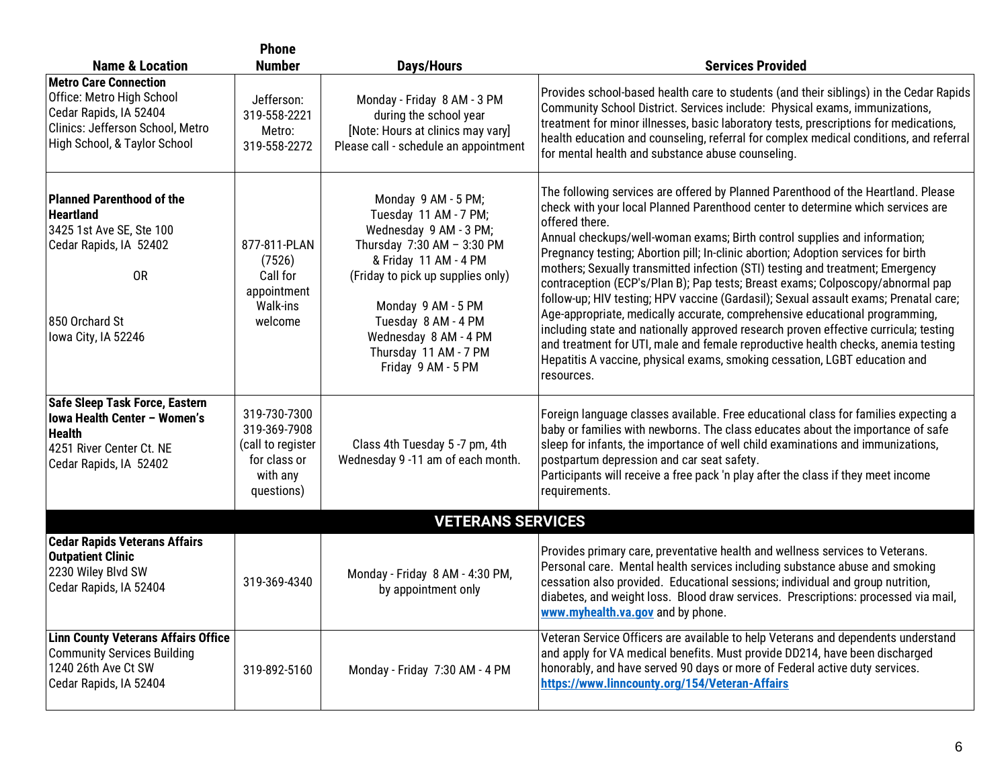|                                                                                                                                                    | <b>Phone</b>                                                                                |                                                                                                                                                                                                                                                                                         |                                                                                                                                                                                                                                                                                                                                                                                                                                                                                                                                                                                                                                                                                                                                                                                                                                                                                                                                                                              |
|----------------------------------------------------------------------------------------------------------------------------------------------------|---------------------------------------------------------------------------------------------|-----------------------------------------------------------------------------------------------------------------------------------------------------------------------------------------------------------------------------------------------------------------------------------------|------------------------------------------------------------------------------------------------------------------------------------------------------------------------------------------------------------------------------------------------------------------------------------------------------------------------------------------------------------------------------------------------------------------------------------------------------------------------------------------------------------------------------------------------------------------------------------------------------------------------------------------------------------------------------------------------------------------------------------------------------------------------------------------------------------------------------------------------------------------------------------------------------------------------------------------------------------------------------|
| <b>Name &amp; Location</b>                                                                                                                         | <b>Number</b>                                                                               | <b>Days/Hours</b>                                                                                                                                                                                                                                                                       | <b>Services Provided</b>                                                                                                                                                                                                                                                                                                                                                                                                                                                                                                                                                                                                                                                                                                                                                                                                                                                                                                                                                     |
| Metro Care Connection<br>Office: Metro High School<br>Cedar Rapids, IA 52404<br>Clinics: Jefferson School, Metro<br>High School, & Taylor School   | Jefferson:<br>319-558-2221<br>Metro:<br>319-558-2272                                        | Monday - Friday 8 AM - 3 PM<br>during the school year<br>[Note: Hours at clinics may vary]<br>Please call - schedule an appointment                                                                                                                                                     | Provides school-based health care to students (and their siblings) in the Cedar Rapids<br>Community School District. Services include: Physical exams, immunizations,<br>treatment for minor illnesses, basic laboratory tests, prescriptions for medications,<br>health education and counseling, referral for complex medical conditions, and referral<br>for mental health and substance abuse counseling.                                                                                                                                                                                                                                                                                                                                                                                                                                                                                                                                                                |
| Planned Parenthood of the<br><b>Heartland</b><br>3425 1st Ave SE, Ste 100<br>Cedar Rapids, IA 52402<br>0R<br>850 Orchard St<br>Iowa City, IA 52246 | 877-811-PLAN<br>(7526)<br>Call for<br>appointment<br><b>Walk-ins</b><br>welcome             | Monday 9 AM - 5 PM;<br>Tuesday 11 AM - 7 PM;<br>Wednesday 9 AM - 3 PM;<br>Thursday 7:30 AM - 3:30 PM<br>& Friday 11 AM - 4 PM<br>(Friday to pick up supplies only)<br>Monday 9 AM - 5 PM<br>Tuesday 8 AM - 4 PM<br>Wednesday 8 AM - 4 PM<br>Thursday 11 AM - 7 PM<br>Friday 9 AM - 5 PM | The following services are offered by Planned Parenthood of the Heartland. Please<br>check with your local Planned Parenthood center to determine which services are<br>offered there.<br>Annual checkups/well-woman exams; Birth control supplies and information;<br>Pregnancy testing; Abortion pill; In-clinic abortion; Adoption services for birth<br>mothers; Sexually transmitted infection (STI) testing and treatment; Emergency<br>contraception (ECP's/Plan B); Pap tests; Breast exams; Colposcopy/abnormal pap<br>follow-up; HIV testing; HPV vaccine (Gardasil); Sexual assault exams; Prenatal care;<br>Age-appropriate, medically accurate, comprehensive educational programming,<br>including state and nationally approved research proven effective curricula; testing<br>and treatment for UTI, male and female reproductive health checks, anemia testing<br>Hepatitis A vaccine, physical exams, smoking cessation, LGBT education and<br>resources. |
| Safe Sleep Task Force, Eastern<br><b>Iowa Health Center - Women's</b><br><b>Health</b><br>4251 River Center Ct. NE<br>Cedar Rapids, IA 52402       | 319-730-7300<br>319-369-7908<br>(call to register<br>for class or<br>with any<br>questions) | Class 4th Tuesday 5 -7 pm, 4th<br>Wednesday 9 -11 am of each month.                                                                                                                                                                                                                     | Foreign language classes available. Free educational class for families expecting a<br>baby or families with newborns. The class educates about the importance of safe<br>sleep for infants, the importance of well child examinations and immunizations,<br>postpartum depression and car seat safety.<br>Participants will receive a free pack 'n play after the class if they meet income<br>requirements.                                                                                                                                                                                                                                                                                                                                                                                                                                                                                                                                                                |
|                                                                                                                                                    |                                                                                             | <b>VETERANS SERVICES</b>                                                                                                                                                                                                                                                                |                                                                                                                                                                                                                                                                                                                                                                                                                                                                                                                                                                                                                                                                                                                                                                                                                                                                                                                                                                              |
| <b>Cedar Rapids Veterans Affairs</b><br><b>Outpatient Clinic</b><br>2230 Wiley Blvd SW<br>Cedar Rapids, IA 52404                                   | 319-369-4340                                                                                | Monday - Friday 8 AM - 4:30 PM,<br>by appointment only                                                                                                                                                                                                                                  | Provides primary care, preventative health and wellness services to Veterans.<br>Personal care. Mental health services including substance abuse and smoking<br>cessation also provided. Educational sessions; individual and group nutrition,<br>diabetes, and weight loss. Blood draw services. Prescriptions: processed via mail,<br>www.myhealth.va.gov and by phone.                                                                                                                                                                                                                                                                                                                                                                                                                                                                                                                                                                                                    |
| <b>Linn County Veterans Affairs Office</b><br><b>Community Services Building</b><br>1240 26th Ave Ct SW<br>Cedar Rapids, IA 52404                  | 319-892-5160                                                                                | Monday - Friday 7:30 AM - 4 PM                                                                                                                                                                                                                                                          | Veteran Service Officers are available to help Veterans and dependents understand<br>and apply for VA medical benefits. Must provide DD214, have been discharged<br>honorably, and have served 90 days or more of Federal active duty services.<br>https://www.linncounty.org/154/Veteran-Affairs                                                                                                                                                                                                                                                                                                                                                                                                                                                                                                                                                                                                                                                                            |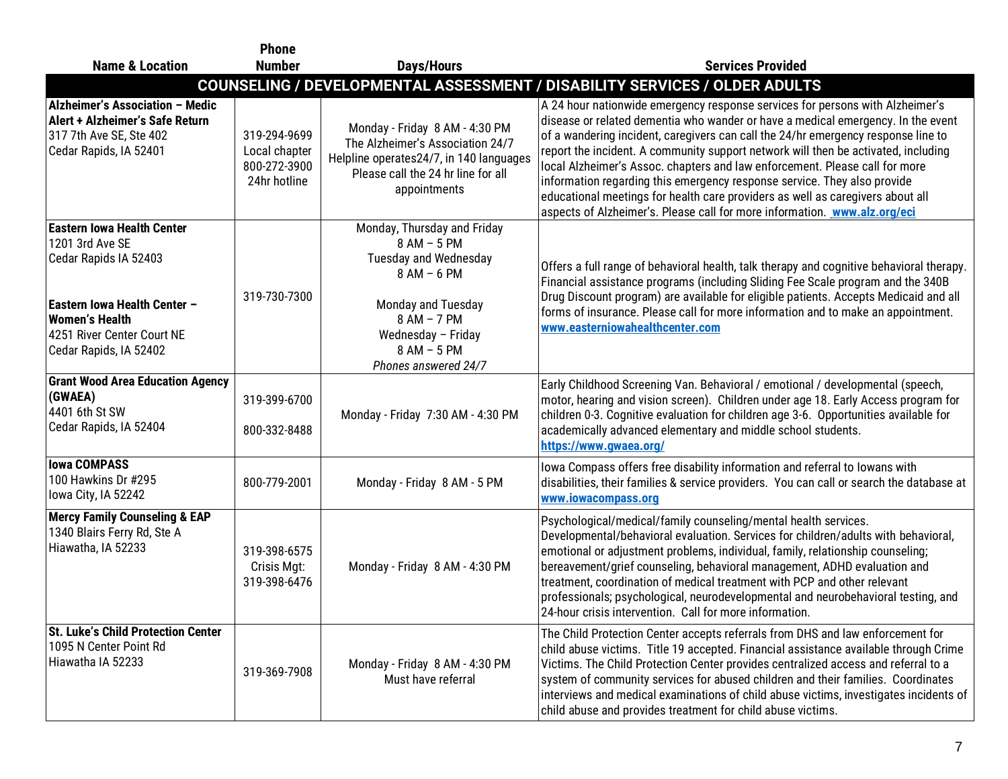|                                                                                                                                                                                                | <b>Phone</b>                                                  |                                                                                                                                                                                      |                                                                                                                                                                                                                                                                                                                                                                                                                                                                                                                                                                                                                                                                        |
|------------------------------------------------------------------------------------------------------------------------------------------------------------------------------------------------|---------------------------------------------------------------|--------------------------------------------------------------------------------------------------------------------------------------------------------------------------------------|------------------------------------------------------------------------------------------------------------------------------------------------------------------------------------------------------------------------------------------------------------------------------------------------------------------------------------------------------------------------------------------------------------------------------------------------------------------------------------------------------------------------------------------------------------------------------------------------------------------------------------------------------------------------|
| <b>Name &amp; Location</b>                                                                                                                                                                     | <b>Number</b>                                                 | <b>Days/Hours</b>                                                                                                                                                                    | <b>Services Provided</b>                                                                                                                                                                                                                                                                                                                                                                                                                                                                                                                                                                                                                                               |
|                                                                                                                                                                                                |                                                               |                                                                                                                                                                                      | COUNSELING / DEVELOPMENTAL ASSESSMENT / DISABILITY SERVICES / OLDER ADULTS                                                                                                                                                                                                                                                                                                                                                                                                                                                                                                                                                                                             |
| Alzheimer's Association - Medic<br>Alert + Alzheimer's Safe Return<br>317 7th Ave SE, Ste 402<br>Cedar Rapids, IA 52401                                                                        | 319-294-9699<br>Local chapter<br>800-272-3900<br>24hr hotline | Monday - Friday 8 AM - 4:30 PM<br>The Alzheimer's Association 24/7<br>Helpline operates24/7, in 140 languages<br>Please call the 24 hr line for all<br>appointments                  | A 24 hour nationwide emergency response services for persons with Alzheimer's<br>disease or related dementia who wander or have a medical emergency. In the event<br>of a wandering incident, caregivers can call the 24/hr emergency response line to<br>report the incident. A community support network will then be activated, including<br>local Alzheimer's Assoc. chapters and law enforcement. Please call for more<br>information regarding this emergency response service. They also provide<br>educational meetings for health care providers as well as caregivers about all<br>aspects of Alzheimer's. Please call for more information. www.alz.org/eci |
| <b>Eastern Iowa Health Center</b><br>1201 3rd Ave SE<br>Cedar Rapids IA 52403<br>Eastern Iowa Health Center -<br><b>Women's Health</b><br>4251 River Center Court NE<br>Cedar Rapids, IA 52402 | 319-730-7300                                                  | Monday, Thursday and Friday<br>8 AM - 5 PM<br>Tuesday and Wednesday<br>8 AM - 6 PM<br>Monday and Tuesday<br>8 AM - 7 PM<br>Wednesday - Friday<br>8 AM - 5 PM<br>Phones answered 24/7 | Offers a full range of behavioral health, talk therapy and cognitive behavioral therapy.<br>Financial assistance programs (including Sliding Fee Scale program and the 340B<br>Drug Discount program) are available for eligible patients. Accepts Medicaid and all<br>forms of insurance. Please call for more information and to make an appointment.<br>www.easterniowahealthcenter.com                                                                                                                                                                                                                                                                             |
| <b>Grant Wood Area Education Agency</b><br>(GWAEA)<br>4401 6th St SW<br>Cedar Rapids, IA 52404                                                                                                 | 319-399-6700<br>800-332-8488                                  | Monday - Friday 7:30 AM - 4:30 PM                                                                                                                                                    | Early Childhood Screening Van. Behavioral / emotional / developmental (speech,<br>motor, hearing and vision screen). Children under age 18. Early Access program for<br>children 0-3. Cognitive evaluation for children age 3-6. Opportunities available for<br>academically advanced elementary and middle school students.<br>https://www.qwaea.org/                                                                                                                                                                                                                                                                                                                 |
| <b>Iowa COMPASS</b><br>100 Hawkins Dr #295<br>lowa City, IA 52242                                                                                                                              | 800-779-2001                                                  | Monday - Friday 8 AM - 5 PM                                                                                                                                                          | lowa Compass offers free disability information and referral to lowans with<br>disabilities, their families & service providers. You can call or search the database at<br>www.iowacompass.org                                                                                                                                                                                                                                                                                                                                                                                                                                                                         |
| <b>Mercy Family Counseling &amp; EAP</b><br>1340 Blairs Ferry Rd, Ste A<br>Hiawatha, IA 52233                                                                                                  | 319-398-6575<br>Crisis Mgt:<br>319-398-6476                   | Monday - Friday 8 AM - 4:30 PM                                                                                                                                                       | Psychological/medical/family counseling/mental health services.<br>Developmental/behavioral evaluation. Services for children/adults with behavioral,<br>emotional or adjustment problems, individual, family, relationship counseling;<br>bereavement/grief counseling, behavioral management, ADHD evaluation and<br>treatment, coordination of medical treatment with PCP and other relevant<br>professionals; psychological, neurodevelopmental and neurobehavioral testing, and<br>24-hour crisis intervention. Call for more information.                                                                                                                        |
| <b>St. Luke's Child Protection Center</b><br>1095 N Center Point Rd<br>Hiawatha IA 52233                                                                                                       | 319-369-7908                                                  | Monday - Friday 8 AM - 4:30 PM<br>Must have referral                                                                                                                                 | The Child Protection Center accepts referrals from DHS and law enforcement for<br>child abuse victims. Title 19 accepted. Financial assistance available through Crime<br>Victims. The Child Protection Center provides centralized access and referral to a<br>system of community services for abused children and their families. Coordinates<br>interviews and medical examinations of child abuse victims, investigates incidents of<br>child abuse and provides treatment for child abuse victims.                                                                                                                                                               |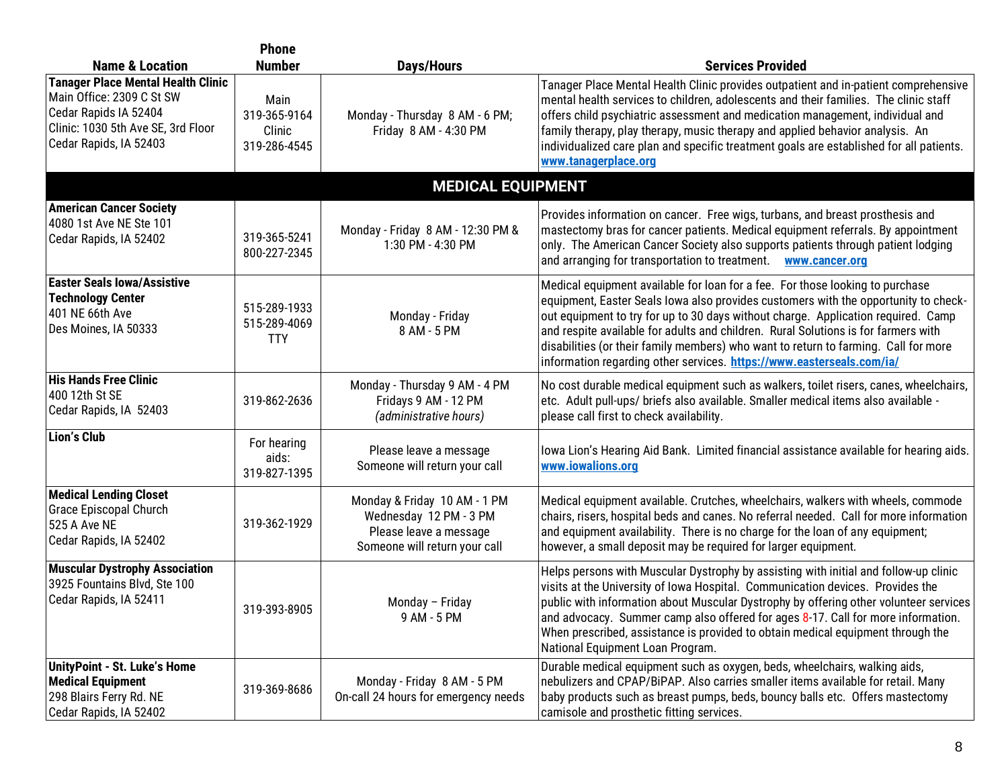| <b>Name &amp; Location</b>                                                                                                                                      | <b>Phone</b><br><b>Number</b>                  | <b>Days/Hours</b>                                                                                                 | <b>Services Provided</b>                                                                                                                                                                                                                                                                                                                                                                                                                                                                                        |
|-----------------------------------------------------------------------------------------------------------------------------------------------------------------|------------------------------------------------|-------------------------------------------------------------------------------------------------------------------|-----------------------------------------------------------------------------------------------------------------------------------------------------------------------------------------------------------------------------------------------------------------------------------------------------------------------------------------------------------------------------------------------------------------------------------------------------------------------------------------------------------------|
| <b>Tanager Place Mental Health Clinic</b><br>Main Office: 2309 C St SW<br>Cedar Rapids IA 52404<br>Clinic: 1030 5th Ave SE, 3rd Floor<br>Cedar Rapids, IA 52403 | Main<br>319-365-9164<br>Clinic<br>319-286-4545 | Monday - Thursday 8 AM - 6 PM;<br>Friday 8 AM - 4:30 PM                                                           | Tanager Place Mental Health Clinic provides outpatient and in-patient comprehensive<br>mental health services to children, adolescents and their families. The clinic staff<br>offers child psychiatric assessment and medication management, individual and<br>family therapy, play therapy, music therapy and applied behavior analysis. An<br>individualized care plan and specific treatment goals are established for all patients.<br>www.tanagerplace.org                                                |
|                                                                                                                                                                 |                                                | <b>MEDICAL EQUIPMENT</b>                                                                                          |                                                                                                                                                                                                                                                                                                                                                                                                                                                                                                                 |
| <b>American Cancer Society</b><br>4080 1st Ave NE Ste 101<br>Cedar Rapids, IA 52402                                                                             | 319-365-5241<br>800-227-2345                   | Monday - Friday 8 AM - 12:30 PM &<br>1:30 PM - 4:30 PM                                                            | Provides information on cancer. Free wigs, turbans, and breast prosthesis and<br>mastectomy bras for cancer patients. Medical equipment referrals. By appointment<br>only. The American Cancer Society also supports patients through patient lodging<br>and arranging for transportation to treatment. www.cancer.org                                                                                                                                                                                          |
| <b>Easter Seals Iowa/Assistive</b><br><b>Technology Center</b><br>401 NE 66th Ave<br>Des Moines, IA 50333                                                       | 515-289-1933<br>515-289-4069<br><b>TTY</b>     | Monday - Friday<br>8 AM - 5 PM                                                                                    | Medical equipment available for loan for a fee. For those looking to purchase<br>equipment, Easter Seals Iowa also provides customers with the opportunity to check-<br>out equipment to try for up to 30 days without charge. Application required. Camp<br>and respite available for adults and children. Rural Solutions is for farmers with<br>disabilities (or their family members) who want to return to farming. Call for more<br>information regarding other services. https://www.easterseals.com/ia/ |
| <b>His Hands Free Clinic</b><br>400 12th St SE<br>Cedar Rapids, IA 52403                                                                                        | 319-862-2636                                   | Monday - Thursday 9 AM - 4 PM<br>Fridays 9 AM - 12 PM<br>(administrative hours)                                   | No cost durable medical equipment such as walkers, toilet risers, canes, wheelchairs,<br>etc. Adult pull-ups/ briefs also available. Smaller medical items also available -<br>please call first to check availability.                                                                                                                                                                                                                                                                                         |
| <b>Lion's Club</b>                                                                                                                                              | For hearing<br>aids:<br>319-827-1395           | Please leave a message<br>Someone will return your call                                                           | lowa Lion's Hearing Aid Bank. Limited financial assistance available for hearing aids.<br>www.iowalions.org                                                                                                                                                                                                                                                                                                                                                                                                     |
| <b>Medical Lending Closet</b><br>Grace Episcopal Church<br>525 A Ave NE<br>Cedar Rapids, IA 52402                                                               | 319-362-1929                                   | Monday & Friday 10 AM - 1 PM<br>Wednesday 12 PM - 3 PM<br>Please leave a message<br>Someone will return your call | Medical equipment available. Crutches, wheelchairs, walkers with wheels, commode<br>chairs, risers, hospital beds and canes. No referral needed. Call for more information<br>and equipment availability. There is no charge for the loan of any equipment;<br>however, a small deposit may be required for larger equipment.                                                                                                                                                                                   |
| <b>Muscular Dystrophy Association</b><br>3925 Fountains Blvd, Ste 100<br>Cedar Rapids, IA 52411                                                                 | 319-393-8905                                   | Monday - Friday<br>9 AM - 5 PM                                                                                    | Helps persons with Muscular Dystrophy by assisting with initial and follow-up clinic<br>visits at the University of Iowa Hospital. Communication devices. Provides the<br>public with information about Muscular Dystrophy by offering other volunteer services<br>and advocacy. Summer camp also offered for ages $8-17$ . Call for more information.<br>When prescribed, assistance is provided to obtain medical equipment through the<br>National Equipment Loan Program.                                   |
| <b>UnityPoint - St. Luke's Home</b><br><b>Medical Equipment</b><br>298 Blairs Ferry Rd. NE<br>Cedar Rapids, IA 52402                                            | 319-369-8686                                   | Monday - Friday 8 AM - 5 PM<br>On-call 24 hours for emergency needs                                               | Durable medical equipment such as oxygen, beds, wheelchairs, walking aids,<br>nebulizers and CPAP/BiPAP. Also carries smaller items available for retail. Many<br>baby products such as breast pumps, beds, bouncy balls etc. Offers mastectomy<br>camisole and prosthetic fitting services.                                                                                                                                                                                                                    |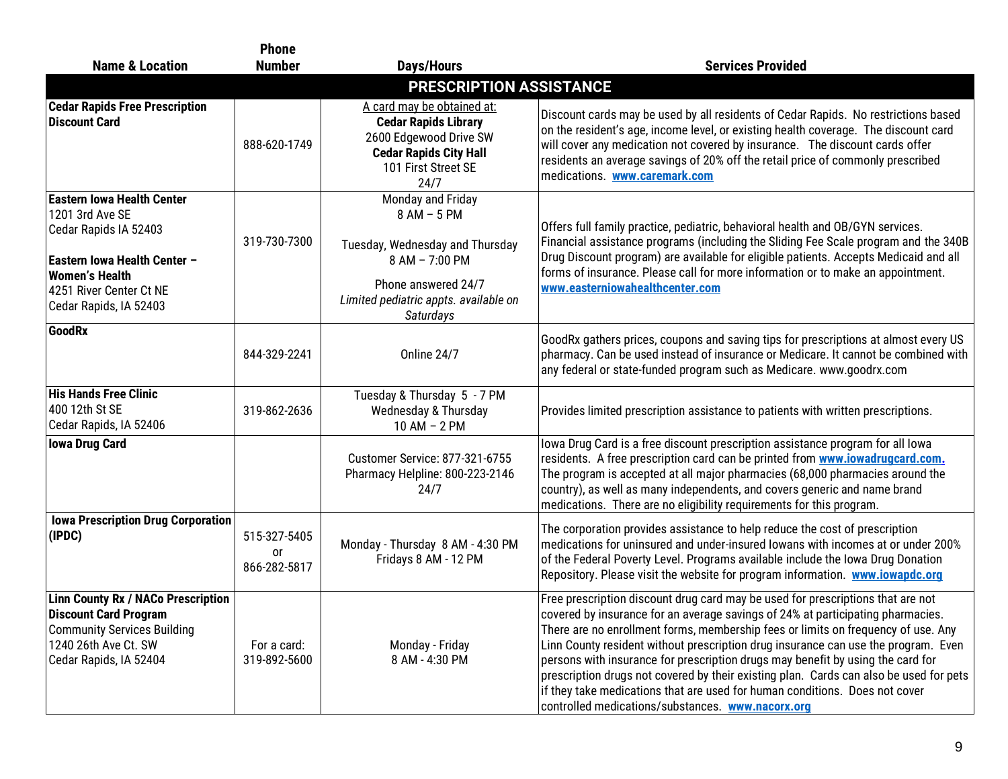|                                                                                                                                                                                             | <b>Phone</b>                              |                                                                                                                                                                    |                                                                                                                                                                                                                                                                                                                                                                                                                                                                                                                                                                                                                                                                |
|---------------------------------------------------------------------------------------------------------------------------------------------------------------------------------------------|-------------------------------------------|--------------------------------------------------------------------------------------------------------------------------------------------------------------------|----------------------------------------------------------------------------------------------------------------------------------------------------------------------------------------------------------------------------------------------------------------------------------------------------------------------------------------------------------------------------------------------------------------------------------------------------------------------------------------------------------------------------------------------------------------------------------------------------------------------------------------------------------------|
| <b>Name &amp; Location</b>                                                                                                                                                                  | <b>Number</b>                             | <b>Days/Hours</b>                                                                                                                                                  | <b>Services Provided</b>                                                                                                                                                                                                                                                                                                                                                                                                                                                                                                                                                                                                                                       |
|                                                                                                                                                                                             |                                           | <b>PRESCRIPTION ASSISTANCE</b>                                                                                                                                     |                                                                                                                                                                                                                                                                                                                                                                                                                                                                                                                                                                                                                                                                |
| <b>Cedar Rapids Free Prescription</b><br><b>Discount Card</b>                                                                                                                               | 888-620-1749                              | A card may be obtained at:<br><b>Cedar Rapids Library</b><br>2600 Edgewood Drive SW<br><b>Cedar Rapids City Hall</b><br>101 First Street SE<br>24/7                | Discount cards may be used by all residents of Cedar Rapids. No restrictions based<br>on the resident's age, income level, or existing health coverage. The discount card<br>will cover any medication not covered by insurance. The discount cards offer<br>residents an average savings of 20% off the retail price of commonly prescribed<br>medications. www.caremark.com                                                                                                                                                                                                                                                                                  |
| <b>Eastern Iowa Health Center</b><br>1201 3rd Ave SE<br>Cedar Rapids IA 52403<br>Eastern Iowa Health Center -<br><b>Women's Health</b><br>4251 River Center Ct NE<br>Cedar Rapids, IA 52403 | 319-730-7300                              | Monday and Friday<br>8 AM - 5 PM<br>Tuesday, Wednesday and Thursday<br>8 AM - 7:00 PM<br>Phone answered 24/7<br>Limited pediatric appts. available on<br>Saturdays | Offers full family practice, pediatric, behavioral health and OB/GYN services.<br>Financial assistance programs (including the Sliding Fee Scale program and the 340B<br>Drug Discount program) are available for eligible patients. Accepts Medicaid and all<br>forms of insurance. Please call for more information or to make an appointment.<br>www.easterniowahealthcenter.com                                                                                                                                                                                                                                                                            |
| <b>GoodRx</b>                                                                                                                                                                               | 844-329-2241                              | Online 24/7                                                                                                                                                        | GoodRx gathers prices, coupons and saving tips for prescriptions at almost every US<br>pharmacy. Can be used instead of insurance or Medicare. It cannot be combined with<br>any federal or state-funded program such as Medicare. www.goodrx.com                                                                                                                                                                                                                                                                                                                                                                                                              |
| <b>His Hands Free Clinic</b><br>400 12th St SE<br>Cedar Rapids, IA 52406                                                                                                                    | 319-862-2636                              | Tuesday & Thursday 5 - 7 PM<br>Wednesday & Thursday<br>$10 AM - 2 PM$                                                                                              | Provides limited prescription assistance to patients with written prescriptions.                                                                                                                                                                                                                                                                                                                                                                                                                                                                                                                                                                               |
| <b>Iowa Drug Card</b>                                                                                                                                                                       |                                           | <b>Customer Service: 877-321-6755</b><br>Pharmacy Helpline: 800-223-2146<br>24/7                                                                                   | lowa Drug Card is a free discount prescription assistance program for all lowa<br>residents. A free prescription card can be printed from <b>www.iowadrugcard.com.</b><br>The program is accepted at all major pharmacies (68,000 pharmacies around the<br>country), as well as many independents, and covers generic and name brand<br>medications. There are no eligibility requirements for this program.                                                                                                                                                                                                                                                   |
| <b>Iowa Prescription Drug Corporation</b><br>(IPDC)                                                                                                                                         | 515-327-5405<br><b>or</b><br>866-282-5817 | Monday - Thursday 8 AM - 4:30 PM<br>Fridays 8 AM - 12 PM                                                                                                           | The corporation provides assistance to help reduce the cost of prescription<br>medications for uninsured and under-insured lowans with incomes at or under 200%<br>of the Federal Poverty Level. Programs available include the Iowa Drug Donation<br>Repository. Please visit the website for program information. www.iowapdc.org                                                                                                                                                                                                                                                                                                                            |
| <b>Linn County Rx / NACo Prescription</b><br><b>Discount Card Program</b><br><b>Community Services Building</b><br>1240 26th Ave Ct. SW<br>Cedar Rapids, IA 52404                           | For a card:<br>319-892-5600               | Monday - Friday<br>8 AM - 4:30 PM                                                                                                                                  | Free prescription discount drug card may be used for prescriptions that are not<br>covered by insurance for an average savings of 24% at participating pharmacies.<br>There are no enrollment forms, membership fees or limits on frequency of use. Any<br>Linn County resident without prescription drug insurance can use the program. Even<br>persons with insurance for prescription drugs may benefit by using the card for<br>prescription drugs not covered by their existing plan. Cards can also be used for pets<br>if they take medications that are used for human conditions. Does not cover<br>controlled medications/substances. www.nacorx.org |